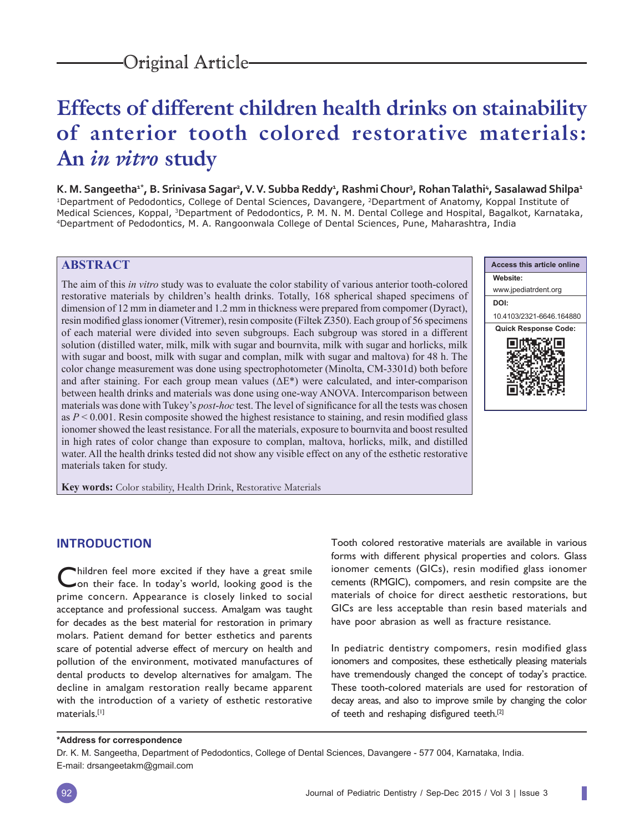# **Effects of different children health drinks on stainability of anterior tooth colored restorative materials: An** *in vitro* **study**

K. M. Sangeetha<sup>1\*</sup>, B. Srinivasa Sagar<sup>2</sup>, V. V. Subba Reddy<sup>1</sup>, Rashmi Chour<sup>3</sup>, Rohan Talathi<sup>4</sup>, Sasalawad Shilpa<sup>1</sup> 1Department of Pedodontics, College of Dental Sciences, Davangere, 2Department of Anatomy, Koppal Institute of Medical Sciences, Koppal, <sup>3</sup>Department of Pedodontics, P. M. N. M. Dental College and Hospital, Bagalkot, Karnataka,<br><sup>4</sup>Department of Pedodontics, M. A. Rangoonwala College of Dental Sciences, Pune, Maharashtra, India

# **ABSTRACT**

The aim of this *in vitro* study was to evaluate the color stability of various anterior tooth-colored restorative materials by children's health drinks. Totally, 168 spherical shaped specimens of dimension of 12 mm in diameter and 1.2 mm in thickness were prepared from compomer (Dyract), resin modified glass ionomer (Vitremer), resin composite (Filtek Z350). Each group of 56 specimens of each material were divided into seven subgroups. Each subgroup was stored in a different solution (distilled water, milk, milk with sugar and bournvita, milk with sugar and horlicks, milk with sugar and boost, milk with sugar and complan, milk with sugar and maltova) for 48 h. The color change measurement was done using spectrophotometer (Minolta, CM-3301d) both before and after staining. For each group mean values (ΔE\*) were calculated, and inter-comparison between health drinks and materials was done using one-way ANOVA. Intercomparison between materials was done with Tukey's *post-hoc* test. The level of significance for all the tests was chosen as  $P < 0.001$ . Resin composite showed the highest resistance to staining, and resin modified glass ionomer showed the least resistance. For all the materials, exposure to bournvita and boost resulted in high rates of color change than exposure to complan, maltova, horlicks, milk, and distilled water. All the health drinks tested did not show any visible effect on any of the esthetic restorative materials taken for study.

**Access this article online Website:** www.jpediatrdent.org **DOI:** 10.4103/2321-6646.164880 **Quick Response Code:** 第回 FIRR.

**Key words:** Color stability, Health Drink, Restorative Materials

# **INTRODUCTION**

Children feel more excited if they have a great smile<br>Con their face. In today's world, looking good is the prime concern. Appearance is closely linked to social acceptance and professional success. Amalgam was taught for decades as the best material for restoration in primary molars. Patient demand for better esthetics and parents scare of potential adverse effect of mercury on health and pollution of the environment, motivated manufactures of dental products to develop alternatives for amalgam. The decline in amalgam restoration really became apparent with the introduction of a variety of esthetic restorative materials.[1]

Tooth colored restorative materials are available in various forms with different physical properties and colors. Glass ionomer cements (GICs), resin modified glass ionomer cements (RMGIC), compomers, and resin compsite are the materials of choice for direct aesthetic restorations, but GICs are less acceptable than resin based materials and have poor abrasion as well as fracture resistance.

In pediatric dentistry compomers, resin modified glass ionomers and composites, these esthetically pleasing materials have tremendously changed the concept of today's practice. These tooth-colored materials are used for restoration of decay areas, and also to improve smile by changing the color of teeth and reshaping disfigured teeth.<sup>[2]</sup>

#### **\*Address for correspondence**

Dr. K. M. Sangeetha, Department of Pedodontics, College of Dental Sciences, Davangere - 577 004, Karnataka, India. E-mail: drsangeetakm@gmail.com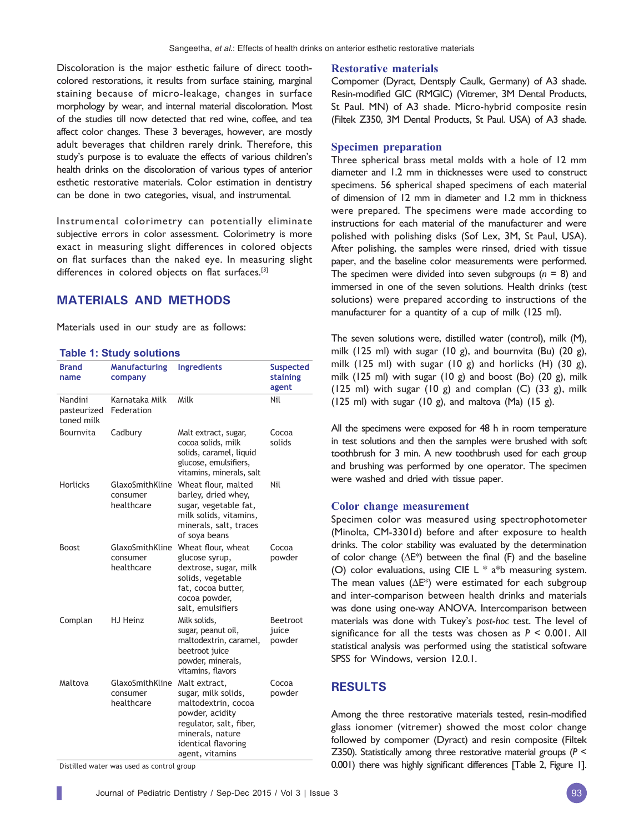Discoloration is the major esthetic failure of direct toothcolored restorations, it results from surface staining, marginal staining because of micro-leakage, changes in surface morphology by wear, and internal material discoloration. Most of the studies till now detected that red wine, coffee, and tea affect color changes. These 3 beverages, however, are mostly adult beverages that children rarely drink. Therefore, this study's purpose is to evaluate the effects of various children's health drinks on the discoloration of various types of anterior esthetic restorative materials. Color estimation in dentistry can be done in two categories, visual, and instrumental.

Instrumental colorimetry can potentially eliminate subjective errors in color assessment. Colorimetry is more exact in measuring slight differences in colored objects on flat surfaces than the naked eye. In measuring slight differences in colored objects on flat surfaces.<sup>[3]</sup>

# **MATERIALS AND METHODS**

Materials used in our study are as follows:

#### **Table 1: Study solutions**

| <b>Brand</b><br>name                 | <b>Manufacturing</b><br>company           | <b>Ingredients</b>                                                                                                                                                      | <b>Suspected</b><br>staining<br>agent |  |
|--------------------------------------|-------------------------------------------|-------------------------------------------------------------------------------------------------------------------------------------------------------------------------|---------------------------------------|--|
| Nandini<br>pasteurized<br>toned milk | Karnataka Milk<br>Federation              | Milk                                                                                                                                                                    | Nil                                   |  |
| Bournvita                            | Cadbury                                   | Malt extract, sugar,<br>cocoa solids, milk<br>solids, caramel, liquid<br>glucose, emulsifiers,<br>vitamins, minerals, salt                                              | Cocoa<br>solids                       |  |
| <b>Horlicks</b>                      | GlaxoSmithKline<br>consumer<br>healthcare | Wheat flour, malted<br>barley, dried whey,<br>sugar, vegetable fat,<br>milk solids, vitamins,<br>minerals, salt, traces<br>of soya beans                                | Nil                                   |  |
| <b>Boost</b>                         | GlaxoSmithKline<br>consumer<br>healthcare | Wheat flour, wheat<br>glucose syrup,<br>dextrose, sugar, milk<br>solids, vegetable<br>fat, cocoa butter,<br>cocoa powder,<br>salt, emulsifiers                          | Cocoa<br>powder                       |  |
| Complan                              | HJ Heinz                                  | Milk solids,<br>sugar, peanut oil,<br>maltodextrin, caramel,<br>beetroot juice<br>powder, minerals,<br>vitamins, flavors                                                | Beetroot<br>juice<br>powder           |  |
| Maltova                              | GlaxoSmithKline<br>consumer<br>healthcare | Malt extract,<br>sugar, milk solids,<br>maltodextrin, cocoa<br>powder, acidity<br>regulator, salt, fiber,<br>minerals, nature<br>identical flavoring<br>agent, vitamins | Cocoa<br>powder                       |  |

Distilled water was used as control group

#### **Restorative materials**

Compomer (Dyract, Dentsply Caulk, Germany) of A3 shade. Resin-modified GIC (RMGIC) (Vitremer, 3M Dental Products, St Paul. MN) of A3 shade. Micro-hybrid composite resin (Filtek Z350, 3M Dental Products, St Paul. USA) of A3 shade.

#### **Specimen preparation**

Three spherical brass metal molds with a hole of 12 mm diameter and 1.2 mm in thicknesses were used to construct specimens. 56 spherical shaped specimens of each material of dimension of 12 mm in diameter and 1.2 mm in thickness were prepared. The specimens were made according to instructions for each material of the manufacturer and were polished with polishing disks (Sof Lex, 3M, St Paul, USA). After polishing, the samples were rinsed, dried with tissue paper, and the baseline color measurements were performed. The specimen were divided into seven subgroups (*n* = 8) and immersed in one of the seven solutions. Health drinks (test solutions) were prepared according to instructions of the manufacturer for a quantity of a cup of milk (125 ml).

The seven solutions were, distilled water (control), milk (M), milk (125 ml) with sugar (10 g), and bournvita (Bu) (20 g), milk (125 ml) with sugar (10 g) and horlicks (H) (30 g), milk (125 ml) with sugar (10 g) and boost (Bo) (20 g), milk (125 ml) with sugar  $(10 \text{ g})$  and complan  $(C)$   $(33 \text{ g})$ , milk (125 ml) with sugar (10 g), and maltova (Ma) (15 g).

All the specimens were exposed for 48 h in room temperature in test solutions and then the samples were brushed with soft toothbrush for 3 min. A new toothbrush used for each group and brushing was performed by one operator. The specimen were washed and dried with tissue paper.

#### **Color change measurement**

Specimen color was measured using spectrophotometer (Minolta, CM-3301d) before and after exposure to health drinks. The color stability was evaluated by the determination of color change ( $\Delta E^*$ ) between the final (F) and the baseline (O) color evaluations, using CIE L  $*$  a $*$ b measuring system. The mean values (∆E\*) were estimated for each subgroup and inter-comparison between health drinks and materials was done using one-way ANOVA. Intercomparison between materials was done with Tukey's *post*-*hoc* test. The level of significance for all the tests was chosen as *P* < 0.001. All statistical analysis was performed using the statistical software SPSS for Windows, version 12.0.1.

## **RESULTS**

Among the three restorative materials tested, resin-modified glass ionomer (vitremer) showed the most color change followed by compomer (Dyract) and resin composite (Filtek Z350). Statistically among three restorative material groups (*P* < 0.001) there was highly significant differences [Table 2, Figure 1].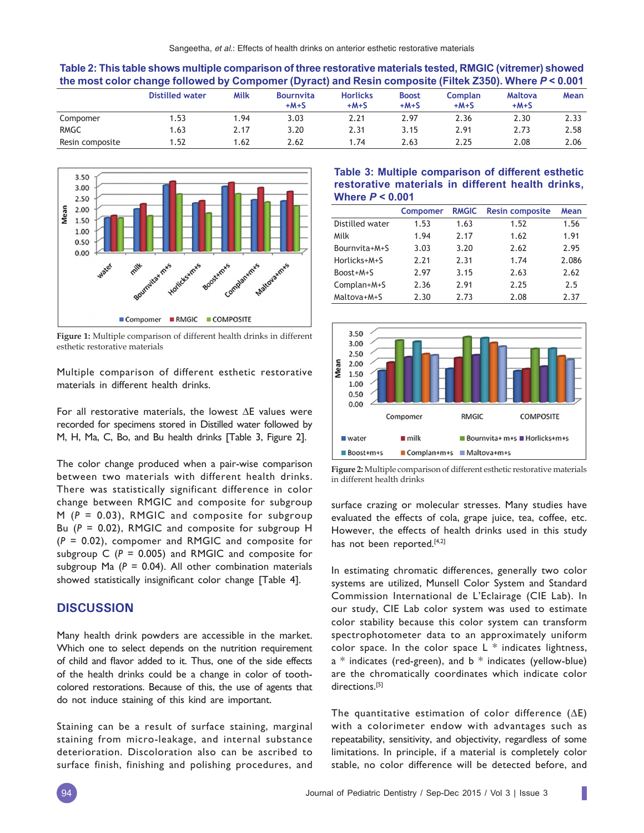| the most color change followed by Compomer (Dyract) and Resin composite (Filtek Z350). Where $P < 0.001$ |                 |      |                            |                           |                        |                   |                          |      |
|----------------------------------------------------------------------------------------------------------|-----------------|------|----------------------------|---------------------------|------------------------|-------------------|--------------------------|------|
|                                                                                                          | Distilled water | Milk | <b>Bournvita</b><br>$+M+S$ | <b>Horlicks</b><br>$+M+S$ | <b>Boost</b><br>$+M+S$ | Complan<br>$+M+S$ | <b>Maltova</b><br>$+M+S$ | Mean |
| Compomer                                                                                                 | 1.53            | 1.94 | 3.03                       | 2.21                      | 2.97                   | 2.36              | 2.30                     | 2.33 |
| <b>RMGC</b>                                                                                              | 1.63            | 2.17 | 3.20                       | 2.31                      | 3.15                   | 2.91              | 2.73                     | 2.58 |
| Resin composite                                                                                          | 1.52            | 1.62 | 2.62                       | 1.74                      | 2.63                   | 2.25              | 2.08                     | 2.06 |



**Figure 1:** Multiple comparison of different health drinks in different esthetic restorative materials

Multiple comparison of different esthetic restorative materials in different health drinks.

For all restorative materials, the lowest ∆E values were recorded for specimens stored in Distilled water followed by M, H, Ma, C, Bo, and Bu health drinks [Table 3, Figure 2].

The color change produced when a pair-wise comparison between two materials with different health drinks. There was statistically significant difference in color change between RMGIC and composite for subgroup M (*P* = 0.03), RMGIC and composite for subgroup Bu (*P* = 0.02), RMGIC and composite for subgroup H (*P* = 0.02), compomer and RMGIC and composite for subgroup  $C$  ( $P = 0.005$ ) and RMGIC and composite for subgroup Ma  $(P = 0.04)$ . All other combination materials showed statistically insignificant color change [Table 4].

## **DISCUSSION**

Many health drink powders are accessible in the market. Which one to select depends on the nutrition requirement of child and flavor added to it. Thus, one of the side effects of the health drinks could be a change in color of toothcolored restorations. Because of this, the use of agents that do not induce staining of this kind are important.

Staining can be a result of surface staining, marginal staining from micro-leakage, and internal substance deterioration. Discoloration also can be ascribed to surface finish, finishing and polishing procedures, and

## **Table 3: Multiple comparison of different esthetic restorative materials in different health drinks, Where** *P* **< 0.001**

|                 | <b>Compomer</b> | <b>RMGIC</b> | <b>Resin composite</b> | Mean  |
|-----------------|-----------------|--------------|------------------------|-------|
| Distilled water | 1.53            | 1.63         | 1.52                   | 1.56  |
| Milk            | 1.94            | 2.17         | 1.62                   | 1.91  |
| Bournvita+M+S   | 3.03            | 3.20         | 2.62                   | 2.95  |
| Horlicks+M+S    | 7.71            | 2.31         | 1.74                   | 2.086 |
| Boost+M+S       | 2.97            | 3.15         | 2.63                   | 2.62  |
| Complan+M+S     | 2.36            | 2.91         | 2.25                   | 2.5   |
| Maltova+M+S     | 2.30            | 2.73         | 2.08                   | 2.37  |



**Figure 2:** Multiple comparison of different esthetic restorative materials in different health drinks

surface crazing or molecular stresses. Many studies have evaluated the effects of cola, grape juice, tea, coffee, etc. However, the effects of health drinks used in this study has not been reported.<sup>[4,2]</sup>

In estimating chromatic differences, generally two color systems are utilized, Munsell Color System and Standard Commission International de L'Eclairage (CIE Lab). In our study, CIE Lab color system was used to estimate color stability because this color system can transform spectrophotometer data to an approximately uniform color space. In the color space  $L *$  indicates lightness,  $a *$  indicates (red-green), and  $b *$  indicates (yellow-blue) are the chromatically coordinates which indicate color directions.<sup>[5]</sup>

The quantitative estimation of color difference  $(\Delta E)$ with a colorimeter endow with advantages such as repeatability, sensitivity, and objectivity, regardless of some limitations. In principle, if a material is completely color stable, no color difference will be detected before, and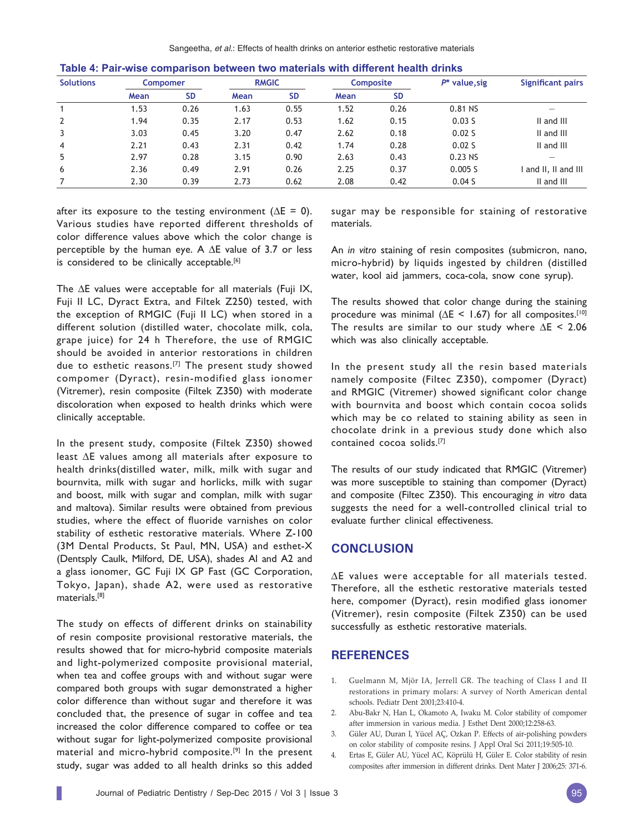| <b>Solutions</b> | <b>Compomer</b> |           | <b>RMGIC</b> |           | <b>Composite</b> |           | $P^*$ value, sig | Significant pairs        |
|------------------|-----------------|-----------|--------------|-----------|------------------|-----------|------------------|--------------------------|
|                  | Mean            | <b>SD</b> | Mean         | <b>SD</b> | Mean             | <b>SD</b> |                  |                          |
|                  | 1.53            | 0.26      | 1.63         | 0.55      | 1.52             | 0.26      | 0.81 NS          | $\overline{\phantom{a}}$ |
| 2                | 1.94            | 0.35      | 2.17         | 0.53      | 1.62             | 0.15      | 0.03S            | II and III               |
| 3                | 3.03            | 0.45      | 3.20         | 0.47      | 2.62             | 0.18      | 0.02S            | II and III               |
| $\overline{4}$   | 2.21            | 0.43      | 2.31         | 0.42      | 1.74             | 0.28      | 0.02S            | II and III               |
| 5                | 2.97            | 0.28      | 3.15         | 0.90      | 2.63             | 0.43      | $0.23$ NS        |                          |
| 6                | 2.36            | 0.49      | 2.91         | 0.26      | 2.25             | 0.37      | 0.005 S          | and II, II and III       |
|                  | 2.30            | 0.39      | 2.73         | 0.62      | 2.08             | 0.42      | 0.04S            | II and III               |

**Table 4: Pair-wise comparison between two materials with different health drinks**

after its exposure to the testing environment ( $\Delta E = 0$ ). Various studies have reported different thresholds of color difference values above which the color change is perceptible by the human eye. A ∆E value of 3.7 or less is considered to be clinically acceptable.<sup>[6]</sup>

The ∆E values were acceptable for all materials (Fuji IX, Fuji II LC, Dyract Extra, and Filtek Z250) tested, with the exception of RMGIC (Fuji II LC) when stored in a different solution (distilled water, chocolate milk, cola, grape juice) for 24 h Therefore, the use of RMGIC should be avoided in anterior restorations in children due to esthetic reasons.[7] The present study showed compomer (Dyract), resin-modified glass ionomer (Vitremer), resin composite (Filtek Z350) with moderate discoloration when exposed to health drinks which were clinically acceptable.

In the present study, composite (Filtek Z350) showed least ∆E values among all materials after exposure to health drinks(distilled water, milk, milk with sugar and bournvita, milk with sugar and horlicks, milk with sugar and boost, milk with sugar and complan, milk with sugar and maltova). Similar results were obtained from previous studies, where the effect of fluoride varnishes on color stability of esthetic restorative materials. Where Z-100 (3M Dental Products, St Paul, MN, USA) and esthet-X (Dentsply Caulk, Milford, DE, USA), shades Al and A2 and a glass ionomer, GC Fuji IX GP Fast (GC Corporation, Tokyo, Japan), shade A2, were used as restorative materials.[8]

The study on effects of different drinks on stainability of resin composite provisional restorative materials, the results showed that for micro-hybrid composite materials and light-polymerized composite provisional material, when tea and coffee groups with and without sugar were compared both groups with sugar demonstrated a higher color difference than without sugar and therefore it was concluded that, the presence of sugar in coffee and tea increased the color difference compared to coffee or tea without sugar for light-polymerized composite provisional material and micro-hybrid composite.<sup>[9]</sup> In the present study, sugar was added to all health drinks so this added

sugar may be responsible for staining of restorative materials.

An *in vitro* staining of resin composites (submicron, nano, micro-hybrid) by liquids ingested by children (distilled water, kool aid jammers, coca-cola, snow cone syrup).

The results showed that color change during the staining procedure was minimal ( $\Delta$ E < 1.67) for all composites.<sup>[10]</sup> The results are similar to our study where  $\Delta E$  < 2.06 which was also clinically acceptable.

In the present study all the resin based materials namely composite (Filtec Z350), compomer (Dyract) and RMGIC (Vitremer) showed significant color change with bournvita and boost which contain cocoa solids which may be co related to staining ability as seen in chocolate drink in a previous study done which also contained cocoa solids.[7]

The results of our study indicated that RMGIC (Vitremer) was more susceptible to staining than compomer (Dyract) and composite (Filtec Z350). This encouraging *in vitro* data suggests the need for a well-controlled clinical trial to evaluate further clinical effectiveness.

# **CONCLUSION**

∆E values were acceptable for all materials tested. Therefore, all the esthetic restorative materials tested here, compomer (Dyract), resin modified glass ionomer (Vitremer), resin composite (Filtek Z350) can be used successfully as esthetic restorative materials.

### **REFERENCES**

- 1. Guelmann M, Mjör IA, Jerrell GR. The teaching of Class I and II restorations in primary molars: A survey of North American dental schools. Pediatr Dent 2001;23:410-4.
- 2. Abu-Bakr N, Han L, Okamoto A, Iwaku M. Color stability of compomer after immersion in various media. J Esthet Dent 2000;12:258-63.
- 3. Güler AU, Duran I, Yücel AÇ, Ozkan P. Effects of air-polishing powders on color stability of composite resins. J Appl Oral Sci 2011;19:505-10.
- 4. Ertas E, Güler AU, Yücel AC, Köprülü H, Güler E. Color stability of resin composites after immersion in different drinks. Dent Mater J 2006;25: 371-6.